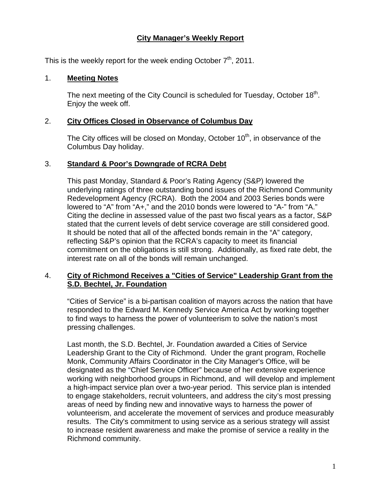# **City Manager's Weekly Report**

This is the weekly report for the week ending October  $7<sup>th</sup>$ , 2011.

## 1. **Meeting Notes**

The next meeting of the City Council is scheduled for Tuesday, October  $18<sup>th</sup>$ . Enjoy the week off.

### 2. **City Offices Closed in Observance of Columbus Day**

The City offices will be closed on Monday, October  $10<sup>th</sup>$ , in observance of the Columbus Day holiday.

## 3. **Standard & Poor's Downgrade of RCRA Debt**

This past Monday, Standard & Poor's Rating Agency (S&P) lowered the underlying ratings of three outstanding bond issues of the Richmond Community Redevelopment Agency (RCRA). Both the 2004 and 2003 Series bonds were lowered to "A" from "A+," and the 2010 bonds were lowered to "A-" from "A." Citing the decline in assessed value of the past two fiscal years as a factor, S&P stated that the current levels of debt service coverage are still considered good. It should be noted that all of the affected bonds remain in the "A" category, reflecting S&P's opinion that the RCRA's capacity to meet its financial commitment on the obligations is still strong. Additionally, as fixed rate debt, the interest rate on all of the bonds will remain unchanged.

### 4. **City of Richmond Receives a "Cities of Service" Leadership Grant from the S.D. Bechtel, Jr. Foundation**

"Cities of Service" is a bi-partisan coalition of mayors across the nation that have responded to the Edward M. Kennedy Service America Act by working together to find ways to harness the power of volunteerism to solve the nation's most pressing challenges.

Last month, the S.D. Bechtel, Jr. Foundation awarded a Cities of Service Leadership Grant to the City of Richmond. Under the grant program, Rochelle Monk, Community Affairs Coordinator in the City Manager's Office, will be designated as the "Chief Service Officer" because of her extensive experience working with neighborhood groups in Richmond, and will develop and implement a high-impact service plan over a two-year period. This service plan is intended to engage stakeholders, recruit volunteers, and address the city's most pressing areas of need by finding new and innovative ways to harness the power of volunteerism, and accelerate the movement of services and produce measurably results. The City's commitment to using service as a serious strategy will assist to increase resident awareness and make the promise of service a reality in the Richmond community.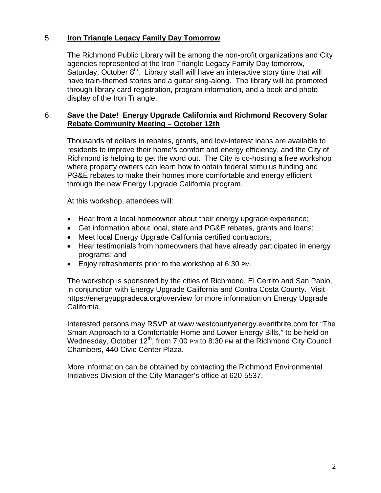# 5. **Iron Triangle Legacy Family Day Tomorrow**

The Richmond Public Library will be among the non-profit organizations and City agencies represented at the Iron Triangle Legacy Family Day tomorrow, Saturday, October  $8<sup>th</sup>$ . Library staff will have an interactive story time that will have train-themed stories and a guitar sing-along. The library will be promoted through library card registration, program information, and a book and photo display of the Iron Triangle.

### 6. **Save the Date! Energy Upgrade California and Richmond Recovery Solar Rebate Community Meeting – October 12th**

Thousands of dollars in rebates, grants, and low-interest loans are available to residents to improve their home's comfort and energy efficiency, and the City of Richmond is helping to get the word out. The City is co-hosting a free workshop where property owners can learn how to obtain federal stimulus funding and PG&E rebates to make their homes more comfortable and energy efficient through the new Energy Upgrade California program.

At this workshop, attendees will:

- Hear from a local homeowner about their energy upgrade experience;
- Get information about local, state and PG&E rebates, grants and loans;
- Meet local Energy Upgrade California certified contractors;
- Hear testimonials from homeowners that have already participated in energy programs; and
- Enjoy refreshments prior to the workshop at 6:30 PM.

The workshop is sponsored by the cities of Richmond, El Cerrito and San Pablo, in conjunction with Energy Upgrade California and Contra Costa County. Visit https://energyupgradeca.org/overview for more information on Energy Upgrade California.

Interested persons may RSVP at www.westcountyenergy.eventbrite.com for "The Smart Approach to a Comfortable Home and Lower Energy Bills," to be held on Wednesday, October  $12^{th}$ , from 7:00 PM to 8:30 PM at the Richmond City Council Chambers, 440 Civic Center Plaza.

More information can be obtained by contacting the Richmond Environmental Initiatives Division of the City Manager's office at 620-5537.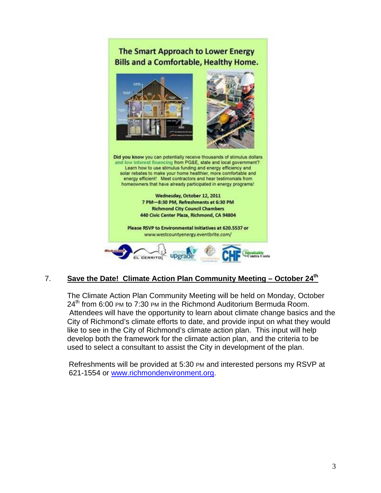# The Smart Approach to Lower Energy **Bills and a Comfortable, Healthy Home.**



# 7. **Save the Date! Climate Action Plan Community Meeting – October 24th**

The Climate Action Plan Community Meeting will be held on Monday, October  $24<sup>th</sup>$  from 6:00 PM to 7:30 PM in the Richmond Auditorium Bermuda Room. Attendees will have the opportunity to learn about climate change basics and the City of Richmond's climate efforts to date, and provide input on what they would like to see in the City of Richmond's climate action plan. This input will help develop both the framework for the climate action plan, and the criteria to be used to select a consultant to assist the City in development of the plan.

Refreshments will be provided at 5:30 PM and interested persons my RSVP at 621-1554 or www.richmondenvironment.org.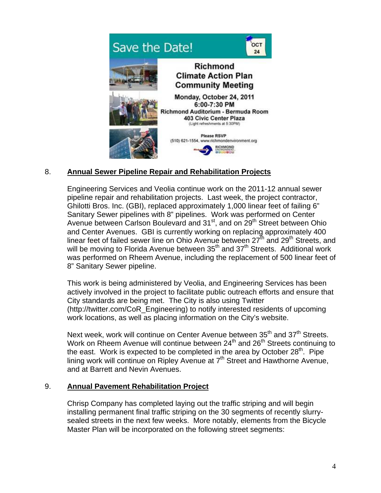

# 8. **Annual Sewer Pipeline Repair and Rehabilitation Projects**

Engineering Services and Veolia continue work on the 2011-12 annual sewer pipeline repair and rehabilitation projects. Last week, the project contractor, Ghilotti Bros. Inc. (GBI), replaced approximately 1,000 linear feet of failing 6" Sanitary Sewer pipelines with 8" pipelines. Work was performed on Center Avenue between Carlson Boulevard and 31<sup>st</sup>, and on 29<sup>th</sup> Street between Ohio and Center Avenues. GBI is currently working on replacing approximately 400 linear feet of failed sewer line on Ohio Avenue between  $27<sup>th</sup>$  and  $29<sup>th</sup>$  Streets, and will be moving to Florida Avenue between  $35<sup>th</sup>$  and  $37<sup>th</sup>$  Streets. Additional work was performed on Rheem Avenue, including the replacement of 500 linear feet of 8" Sanitary Sewer pipeline.

This work is being administered by Veolia, and Engineering Services has been actively involved in the project to facilitate public outreach efforts and ensure that City standards are being met. The City is also using Twitter (http://twitter.com/CoR\_Engineering) to notify interested residents of upcoming work locations, as well as placing information on the City's website.

Next week, work will continue on Center Avenue between  $35<sup>th</sup>$  and  $37<sup>th</sup>$  Streets. Work on Rheem Avenue will continue between  $24<sup>th</sup>$  and  $26<sup>th</sup>$  Streets continuing to the east. Work is expected to be completed in the area by October  $28<sup>th</sup>$ . Pipe lining work will continue on Ripley Avenue at  $7<sup>th</sup>$  Street and Hawthorne Avenue, and at Barrett and Nevin Avenues.

### 9. **Annual Pavement Rehabilitation Project**

Chrisp Company has completed laying out the traffic striping and will begin installing permanent final traffic striping on the 30 segments of recently slurrysealed streets in the next few weeks. More notably, elements from the Bicycle Master Plan will be incorporated on the following street segments: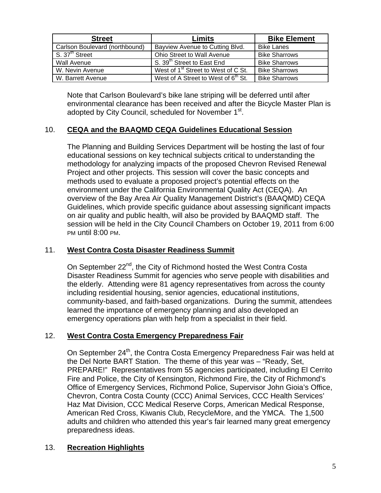| <b>Street</b>                           | Limits                                          | <b>Bike Element</b>  |
|-----------------------------------------|-------------------------------------------------|----------------------|
| Carlson Boulevard (northbound)          | Bayview Avenue to Cutting Blvd.                 | <b>Bike Lanes</b>    |
| $\overline{S. 37}$ <sup>th</sup> Street | Ohio Street to Wall Avenue                      | <b>Bike Sharrows</b> |
| <b>Wall Avenue</b>                      | S. 39 <sup>th</sup> Street to East End          | <b>Bike Sharrows</b> |
| W. Nevin Avenue                         | West of 1 <sup>st</sup> Street to West of C St. | <b>Bike Sharrows</b> |
| W. Barrett Avenue                       | West of A Street to West of 6 <sup>th</sup> St. | <b>Bike Sharrows</b> |

Note that Carlson Boulevard's bike lane striping will be deferred until after environmental clearance has been received and after the Bicycle Master Plan is adopted by City Council, scheduled for November 1<sup>st</sup>.

# 10. **CEQA and the BAAQMD CEQA Guidelines Educational Session**

The Planning and Building Services Department will be hosting the last of four educational sessions on key technical subjects critical to understanding the methodology for analyzing impacts of the proposed Chevron Revised Renewal Project and other projects. This session will cover the basic concepts and methods used to evaluate a proposed project's potential effects on the environment under the California Environmental Quality Act (CEQA). An overview of the Bay Area Air Quality Management District's (BAAQMD) CEQA Guidelines, which provide specific guidance about assessing significant impacts on air quality and public health, will also be provided by BAAQMD staff. The session will be held in the City Council Chambers on October 19, 2011 from 6:00 PM until 8:00 PM.

# 11. **West Contra Costa Disaster Readiness Summit**

On September 22<sup>nd</sup>, the City of Richmond hosted the West Contra Costa Disaster Readiness Summit for agencies who serve people with disabilities and the elderly. Attending were 81 agency representatives from across the county including residential housing, senior agencies, educational institutions, community-based, and faith-based organizations. During the summit, attendees learned the importance of emergency planning and also developed an emergency operations plan with help from a specialist in their field.

# 12. **West Contra Costa Emergency Preparedness Fair**

On September 24<sup>th</sup>, the Contra Costa Emergency Preparedness Fair was held at the Del Norte BART Station. The theme of this year was – "Ready, Set, PREPARE!" Representatives from 55 agencies participated, including El Cerrito Fire and Police, the City of Kensington, Richmond Fire, the City of Richmond's Office of Emergency Services, Richmond Police, Supervisor John Gioia's Office, Chevron, Contra Costa County (CCC) Animal Services, CCC Health Services' Haz Mat Division, CCC Medical Reserve Corps, American Medical Response, American Red Cross, Kiwanis Club, RecycleMore, and the YMCA. The 1,500 adults and children who attended this year's fair learned many great emergency preparedness ideas.

### 13. **Recreation Highlights**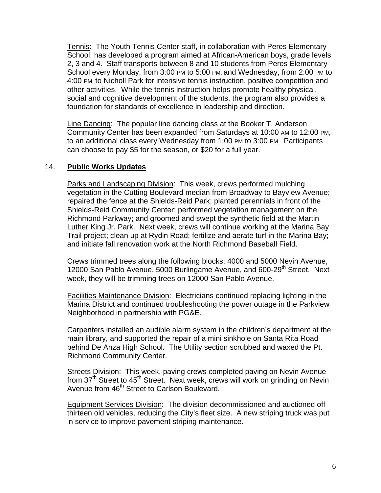Tennis: The Youth Tennis Center staff, in collaboration with Peres Elementary School, has developed a program aimed at African-American boys, grade levels 2, 3 and 4. Staff transports between 8 and 10 students from Peres Elementary School every Monday, from 3:00 PM to 5:00 PM, and Wednesday, from 2:00 PM to 4:00 PM, to Nicholl Park for intensive tennis instruction, positive competition and other activities. While the tennis instruction helps promote healthy physical, social and cognitive development of the students, the program also provides a foundation for standards of excellence in leadership and direction.

Line Dancing: The popular line dancing class at the Booker T. Anderson Community Center has been expanded from Saturdays at 10:00 AM to 12:00 PM, to an additional class every Wednesday from 1:00 PM to 3:00 PM. Participants can choose to pay \$5 for the season, or \$20 for a full year.

## 14. **Public Works Updates**

Parks and Landscaping Division: This week, crews performed mulching vegetation in the Cutting Boulevard median from Broadway to Bayview Avenue; repaired the fence at the Shields-Reid Park; planted perennials in front of the Shields-Reid Community Center; performed vegetation management on the Richmond Parkway; and groomed and swept the synthetic field at the Martin Luther King Jr. Park. Next week, crews will continue working at the Marina Bay Trail project; clean up at Rydin Road; fertilize and aerate turf in the Marina Bay; and initiate fall renovation work at the North Richmond Baseball Field.

Crews trimmed trees along the following blocks: 4000 and 5000 Nevin Avenue, 12000 San Pablo Avenue, 5000 Burlingame Avenue, and 600-29<sup>th</sup> Street. Next week, they will be trimming trees on 12000 San Pablo Avenue.

Facilities Maintenance Division: Electricians continued replacing lighting in the Marina District and continued troubleshooting the power outage in the Parkview Neighborhood in partnership with PG&E.

Carpenters installed an audible alarm system in the children's department at the main library, and supported the repair of a mini sinkhole on Santa Rita Road behind De Anza High School. The Utility section scrubbed and waxed the Pt. Richmond Community Center.

Streets Division: This week, paving crews completed paving on Nevin Avenue from 37<sup>th</sup> Street to 45<sup>th</sup> Street. Next week, crews will work on grinding on Nevin Avenue from 46<sup>th</sup> Street to Carlson Boulevard.

Equipment Services Division: The division decommissioned and auctioned off thirteen old vehicles, reducing the City's fleet size. A new striping truck was put in service to improve pavement striping maintenance.